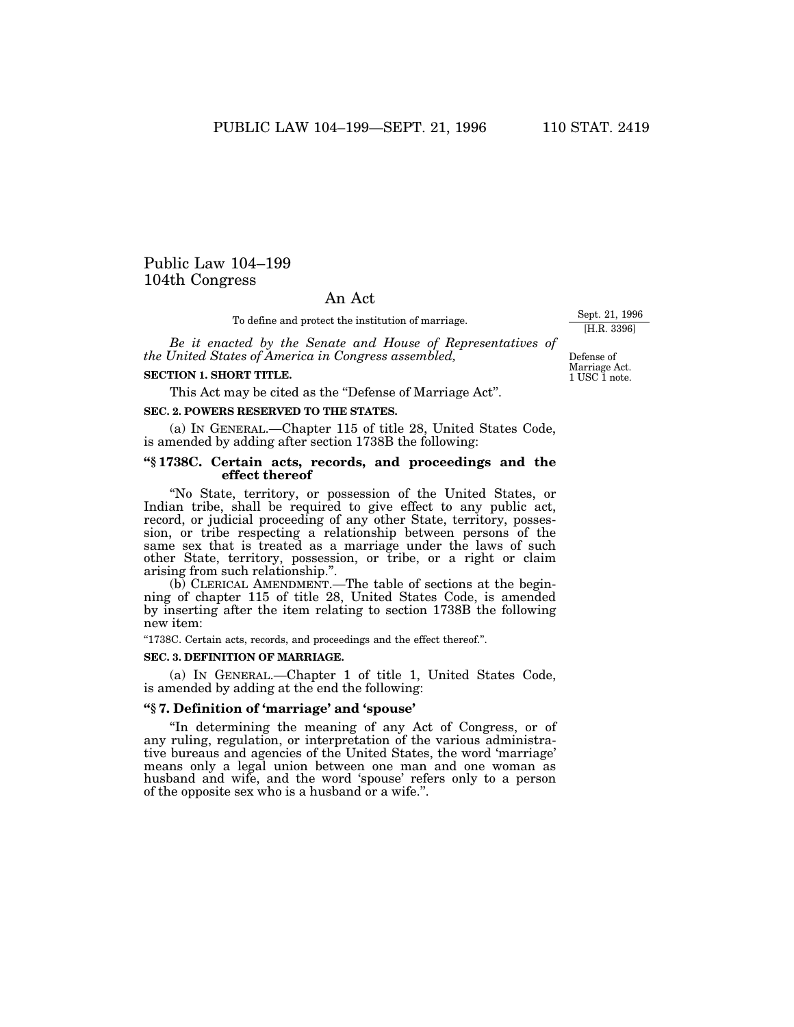# Public Law 104–199 104th Congress

## An Act

To define and protect the institution of marriage.

*Be it enacted by the Senate and House of Representatives of the United States of America in Congress assembled,*

#### **SECTION 1. SHORT TITLE.**

This Act may be cited as the "Defense of Marriage Act".

#### **SEC. 2. POWERS RESERVED TO THE STATES.**

(a) IN GENERAL.—Chapter 115 of title 28, United States Code, is amended by adding after section 1738B the following:

### **''§ 1738C. Certain acts, records, and proceedings and the effect thereof**

''No State, territory, or possession of the United States, or Indian tribe, shall be required to give effect to any public act, record, or judicial proceeding of any other State, territory, possession, or tribe respecting a relationship between persons of the same sex that is treated as a marriage under the laws of such other State, territory, possession, or tribe, or a right or claim arising from such relationship.''.

(b) CLERICAL AMENDMENT.—The table of sections at the beginning of chapter 115 of title 28, United States Code, is amended by inserting after the item relating to section 1738B the following new item:

''1738C. Certain acts, records, and proceedings and the effect thereof.''.

### **SEC. 3. DEFINITION OF MARRIAGE.**

(a) IN GENERAL.—Chapter 1 of title 1, United States Code, is amended by adding at the end the following:

#### **''§ 7. Definition of 'marriage' and 'spouse'**

''In determining the meaning of any Act of Congress, or of any ruling, regulation, or interpretation of the various administrative bureaus and agencies of the United States, the word 'marriage' means only a legal union between one man and one woman as husband and wife, and the word 'spouse' refers only to a person of the opposite sex who is a husband or a wife.''.

Sept. 21, 1996 [H.R. 3396]

1 USC 1 note. Defense of Marriage Act.